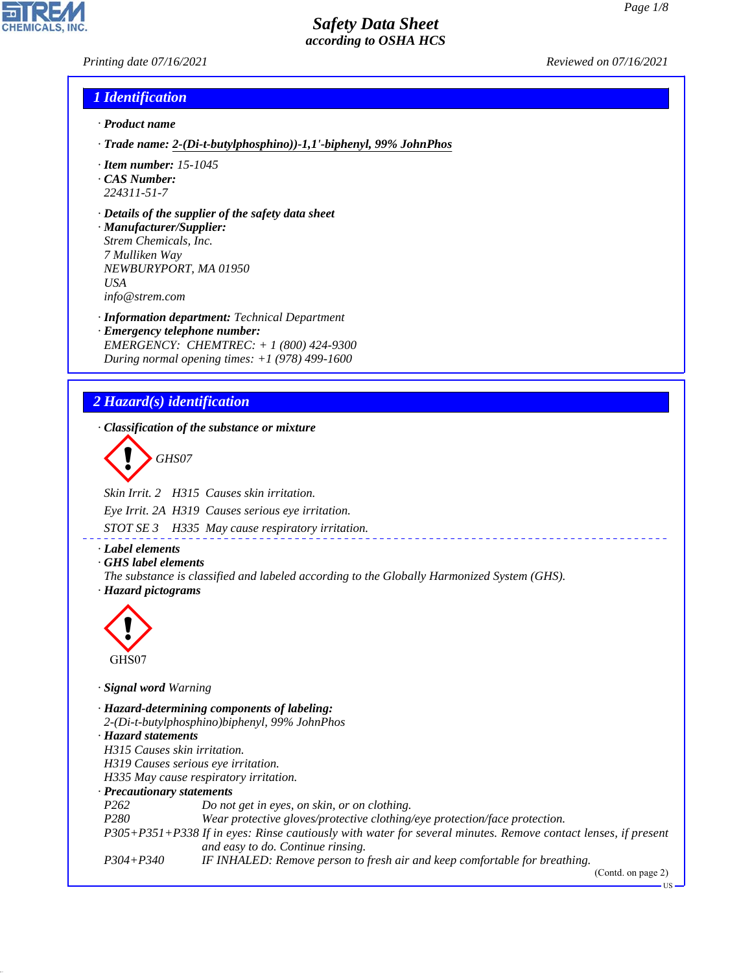*Printing date 07/16/2021 Reviewed on 07/16/2021*

### *1 Identification*

- *· Product name*
- *· Trade name: 2-(Di-t-butylphosphino))-1,1'-biphenyl, 99% JohnPhos*
- *· Item number: 15-1045 · CAS Number:*
- *224311-51-7*
- *· Details of the supplier of the safety data sheet*
- *· Manufacturer/Supplier: Strem Chemicals, Inc. 7 Mulliken Way NEWBURYPORT, MA 01950 USA info@strem.com*
- *· Information department: Technical Department · Emergency telephone number: EMERGENCY: CHEMTREC: + 1 (800) 424-9300 During normal opening times: +1 (978) 499-1600*

# *2 Hazard(s) identification*

*· Classification of the substance or mixture*

d~*GHS07*

*Skin Irrit. 2 H315 Causes skin irritation.*

*Eye Irrit. 2A H319 Causes serious eye irritation.*

*STOT SE 3 H335 May cause respiratory irritation.*

- *· Label elements*
- *· GHS label elements*
- *The substance is classified and labeled according to the Globally Harmonized System (GHS). · Hazard pictograms*



44.1.1

*· Signal word Warning*

*· Hazard-determining components of labeling: 2-(Di-t-butylphosphino)biphenyl, 99% JohnPhos · Hazard statements H315 Causes skin irritation. H319 Causes serious eye irritation. H335 May cause respiratory irritation. · Precautionary statements P262 Do not get in eyes, on skin, or on clothing. P280 Wear protective gloves/protective clothing/eye protection/face protection. P305+P351+P338 If in eyes: Rinse cautiously with water for several minutes. Remove contact lenses, if present and easy to do. Continue rinsing. P304+P340 IF INHALED: Remove person to fresh air and keep comfortable for breathing.*

(Contd. on page 2)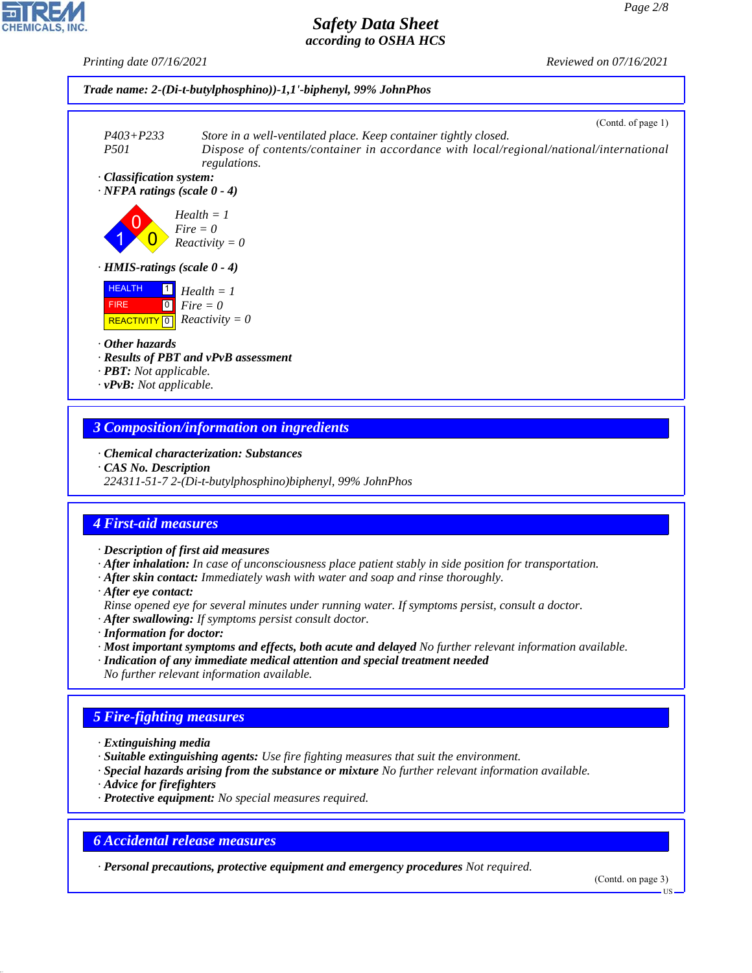*Printing date 07/16/2021 Reviewed on 07/16/2021*

(Contd. of page 1)



*P403+P233 Store in a well-ventilated place. Keep container tightly closed. P501 Dispose of contents/container in accordance with local/regional/national/international regulations.*

*· Classification system: · NFPA ratings (scale 0 - 4)*

1 0  $\overline{\mathbf{0}}$ *Health = 1 Fire = 0 Reactivity = 0*



**HEALTH**  FIRE  $\overline{REACTIVITY \space 0}$  *Reactivity* = 0 1  $\boxed{0}$ *Health = 1 Fire = 0*

*· Other hazards*

- *· Results of PBT and vPvB assessment*
- *· PBT: Not applicable.*
- *· vPvB: Not applicable.*

## *3 Composition/information on ingredients*

- *· Chemical characterization: Substances*
- *· CAS No. Description*
- *224311-51-7 2-(Di-t-butylphosphino)biphenyl, 99% JohnPhos*

## *4 First-aid measures*

- *· Description of first aid measures*
- *· After inhalation: In case of unconsciousness place patient stably in side position for transportation.*
- *· After skin contact: Immediately wash with water and soap and rinse thoroughly.*
- *· After eye contact:*
- *Rinse opened eye for several minutes under running water. If symptoms persist, consult a doctor.*

*· After swallowing: If symptoms persist consult doctor.*

- *· Information for doctor:*
- *· Most important symptoms and effects, both acute and delayed No further relevant information available.*
- *· Indication of any immediate medical attention and special treatment needed*
- *No further relevant information available.*

## *5 Fire-fighting measures*

- *· Extinguishing media*
- *· Suitable extinguishing agents: Use fire fighting measures that suit the environment.*
- *· Special hazards arising from the substance or mixture No further relevant information available.*
- *· Advice for firefighters*

44.1.1

*· Protective equipment: No special measures required.*

## *6 Accidental release measures*

*· Personal precautions, protective equipment and emergency procedures Not required.*

(Contd. on page 3)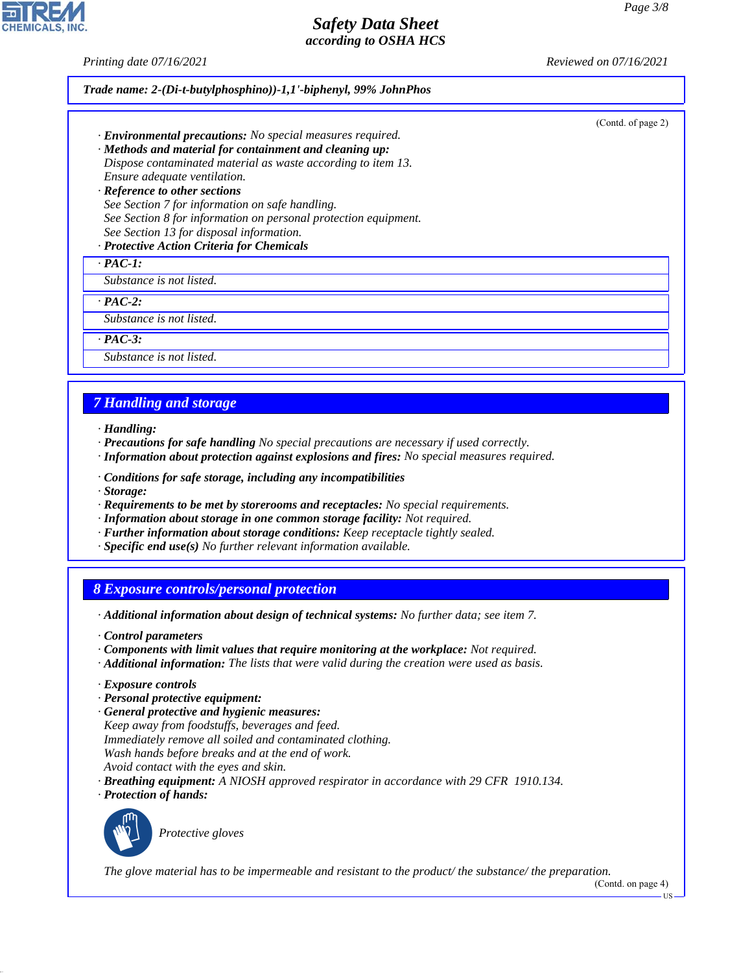*Printing date 07/16/2021 Reviewed on 07/16/2021*

(Contd. of page 2)

|  |  |  |  | Trade name: 2-(Di-t-butylphosphino))-1,1'-biphenyl, 99% JohnPhos |
|--|--|--|--|------------------------------------------------------------------|
|--|--|--|--|------------------------------------------------------------------|

*· Environmental precautions: No special measures required.*

- *· Methods and material for containment and cleaning up: Dispose contaminated material as waste according to item 13. Ensure adequate ventilation.*
- *· Reference to other sections See Section 7 for information on safe handling. See Section 8 for information on personal protection equipment. See Section 13 for disposal information.*

### *· Protective Action Criteria for Chemicals*

*· PAC-1:*

*Substance is not listed.*

*· PAC-2:*

*Substance is not listed.*

*· PAC-3:*

*Substance is not listed.*

## *7 Handling and storage*

- *· Handling:*
- *· Precautions for safe handling No special precautions are necessary if used correctly.*
- *· Information about protection against explosions and fires: No special measures required.*
- *· Conditions for safe storage, including any incompatibilities*
- *· Storage:*
- *· Requirements to be met by storerooms and receptacles: No special requirements.*
- *· Information about storage in one common storage facility: Not required.*
- *· Further information about storage conditions: Keep receptacle tightly sealed.*
- *· Specific end use(s) No further relevant information available.*

### *8 Exposure controls/personal protection*

- *· Additional information about design of technical systems: No further data; see item 7.*
- *· Control parameters*
- *· Components with limit values that require monitoring at the workplace: Not required.*
- *· Additional information: The lists that were valid during the creation were used as basis.*
- *· Exposure controls*
- *· Personal protective equipment:*
- *· General protective and hygienic measures:*
- *Keep away from foodstuffs, beverages and feed. Immediately remove all soiled and contaminated clothing. Wash hands before breaks and at the end of work. Avoid contact with the eyes and skin.*
- *· Breathing equipment: A NIOSH approved respirator in accordance with 29 CFR 1910.134.*
- *· Protection of hands:*



44.1.1

\_S*Protective gloves*

*The glove material has to be impermeable and resistant to the product/ the substance/ the preparation.*

(Contd. on page 4)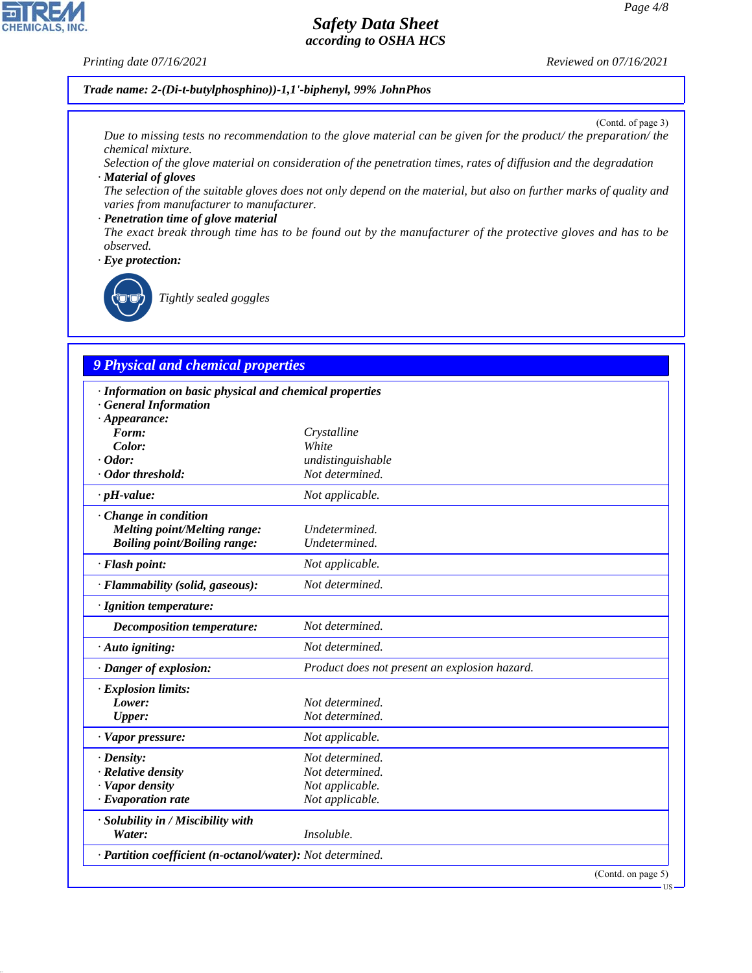#### *Printing date 07/16/2021 Reviewed on 07/16/2021*

**CHEMICALS, INC.** 

*Trade name: 2-(Di-t-butylphosphino))-1,1'-biphenyl, 99% JohnPhos*

(Contd. of page 3)

US

*Due to missing tests no recommendation to the glove material can be given for the product/ the preparation/ the chemical mixture.*

*Selection of the glove material on consideration of the penetration times, rates of diffusion and the degradation · Material of gloves*

*The selection of the suitable gloves does not only depend on the material, but also on further marks of quality and varies from manufacturer to manufacturer.*

#### *· Penetration time of glove material*

*The exact break through time has to be found out by the manufacturer of the protective gloves and has to be observed.*

*· Eye protection:*



44.1.1

\_R*Tightly sealed goggles*

# *9 Physical and chemical properties*

| · Information on basic physical and chemical properties<br><b>General Information</b> |                                               |  |  |  |
|---------------------------------------------------------------------------------------|-----------------------------------------------|--|--|--|
| $\cdot$ Appearance:                                                                   |                                               |  |  |  |
| Form:                                                                                 | Crystalline                                   |  |  |  |
| Color:                                                                                | White                                         |  |  |  |
| $\cdot$ Odor:                                                                         | undistinguishable                             |  |  |  |
| · Odor threshold:                                                                     | Not determined.                               |  |  |  |
| $\cdot$ pH-value:                                                                     | Not applicable.                               |  |  |  |
| Change in condition                                                                   |                                               |  |  |  |
| <b>Melting point/Melting range:</b>                                                   | Undetermined.                                 |  |  |  |
| <b>Boiling point/Boiling range:</b>                                                   | Undetermined.                                 |  |  |  |
| · Flash point:                                                                        | Not applicable.                               |  |  |  |
| · Flammability (solid, gaseous):                                                      | Not determined.                               |  |  |  |
| · Ignition temperature:                                                               |                                               |  |  |  |
| Decomposition temperature:                                                            | Not determined.                               |  |  |  |
| · Auto igniting:                                                                      | Not determined.                               |  |  |  |
| · Danger of explosion:                                                                | Product does not present an explosion hazard. |  |  |  |
| · Explosion limits:                                                                   |                                               |  |  |  |
| Lower:                                                                                | Not determined.                               |  |  |  |
| Upper:                                                                                | Not determined.                               |  |  |  |
| · Vapor pressure:                                                                     | Not applicable.                               |  |  |  |
| $\cdot$ Density:                                                                      | Not determined.                               |  |  |  |
| · Relative density                                                                    | Not determined.                               |  |  |  |
| · Vapor density                                                                       | Not applicable.                               |  |  |  |
| $\cdot$ Evaporation rate                                                              | Not applicable.                               |  |  |  |
| · Solubility in / Miscibility with                                                    |                                               |  |  |  |
| Water:                                                                                | Insoluble.                                    |  |  |  |
| · Partition coefficient (n-octanol/water): Not determined.                            |                                               |  |  |  |
| (Contd. on page 5)                                                                    |                                               |  |  |  |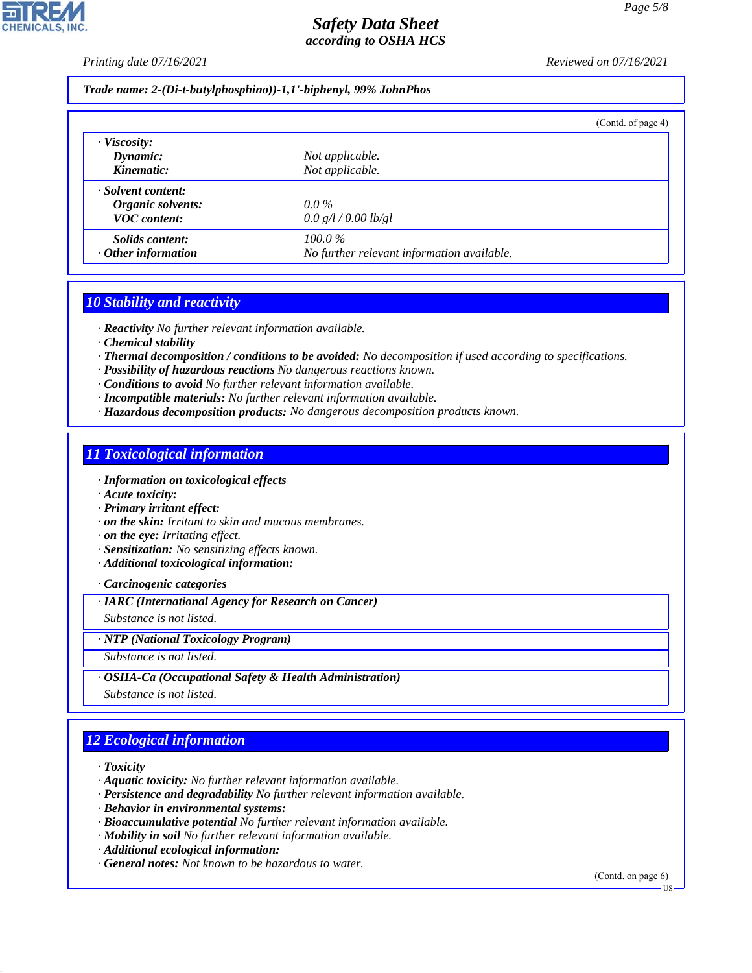*Printing date 07/16/2021 Reviewed on 07/16/2021*

### *Trade name: 2-(Di-t-butylphosphino))-1,1'-biphenyl, 99% JohnPhos*

|                           | (Contd. of page 4)                         |  |
|---------------------------|--------------------------------------------|--|
| $\cdot$ Viscosity:        |                                            |  |
| Dynamic:                  | Not applicable.                            |  |
| Kinematic:                | Not applicable.                            |  |
| · Solvent content:        |                                            |  |
| Organic solvents:         | $0.0\%$                                    |  |
| <b>VOC</b> content:       | 0.0 g/l / 0.00 lb/gl                       |  |
| Solids content:           | $100.0\%$                                  |  |
| $\cdot$ Other information | No further relevant information available. |  |

## *10 Stability and reactivity*

*· Reactivity No further relevant information available.*

*· Chemical stability*

- *· Thermal decomposition / conditions to be avoided: No decomposition if used according to specifications.*
- *· Possibility of hazardous reactions No dangerous reactions known.*

*· Conditions to avoid No further relevant information available.*

- *· Incompatible materials: No further relevant information available.*
- *· Hazardous decomposition products: No dangerous decomposition products known.*

### *11 Toxicological information*

*· Information on toxicological effects*

- *· Acute toxicity:*
- *· Primary irritant effect:*
- *· on the skin: Irritant to skin and mucous membranes.*

*· on the eye: Irritating effect.*

- *· Sensitization: No sensitizing effects known.*
- *· Additional toxicological information:*

*· Carcinogenic categories*

*· IARC (International Agency for Research on Cancer)*

*Substance is not listed.*

#### *· NTP (National Toxicology Program)*

*Substance is not listed.*

*· OSHA-Ca (Occupational Safety & Health Administration)*

*Substance is not listed.*

# *12 Ecological information*

*· Toxicity*

44.1.1

*· Aquatic toxicity: No further relevant information available.*

- *· Persistence and degradability No further relevant information available.*
- *· Behavior in environmental systems:*
- *· Bioaccumulative potential No further relevant information available.*
- *· Mobility in soil No further relevant information available.*
- *· Additional ecological information:*
- *· General notes: Not known to be hazardous to water.*

(Contd. on page 6)

US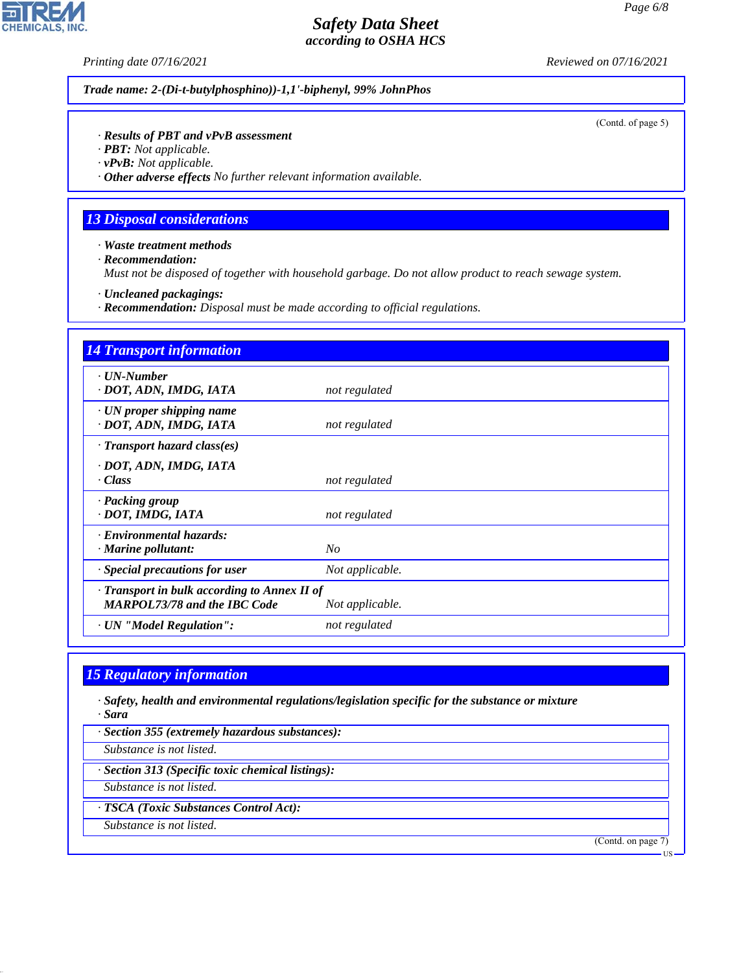**CHEMICALS, INC.** 

*Printing date 07/16/2021 Reviewed on 07/16/2021*

*Trade name: 2-(Di-t-butylphosphino))-1,1'-biphenyl, 99% JohnPhos*

(Contd. of page 5)

*· Results of PBT and vPvB assessment*

*· PBT: Not applicable.*

*· vPvB: Not applicable.*

*· Other adverse effects No further relevant information available.*

## *13 Disposal considerations*

*· Waste treatment methods*

*· Recommendation:*

*Must not be disposed of together with household garbage. Do not allow product to reach sewage system.*

*· Uncleaned packagings:*

*· Recommendation: Disposal must be made according to official regulations.*

| <b>14 Transport information</b>                                                   |                 |
|-----------------------------------------------------------------------------------|-----------------|
| · <b><i>UN-Number</i></b><br>· DOT, ADN, IMDG, IATA                               | not regulated   |
| · UN proper shipping name<br>· DOT, ADN, IMDG, IATA                               | not regulated   |
| · Transport hazard class(es)                                                      |                 |
| · DOT, ADN, IMDG, IATA<br>· Class                                                 | not regulated   |
| · Packing group<br>· DOT, IMDG, IATA                                              | not regulated   |
| · Environmental hazards:<br>· Marine pollutant:                                   | N <sub>O</sub>  |
| · Special precautions for user                                                    | Not applicable. |
| Transport in bulk according to Annex II of<br><b>MARPOL73/78 and the IBC Code</b> | Not applicable. |
| · UN "Model Regulation":                                                          | not regulated   |

# *15 Regulatory information*

*· Safety, health and environmental regulations/legislation specific for the substance or mixture · Sara*

*· Section 355 (extremely hazardous substances):*

*Substance is not listed.*

*· Section 313 (Specific toxic chemical listings):*

*Substance is not listed.*

*· TSCA (Toxic Substances Control Act):*

*Substance is not listed.*

44.1.1

(Contd. on page 7)

US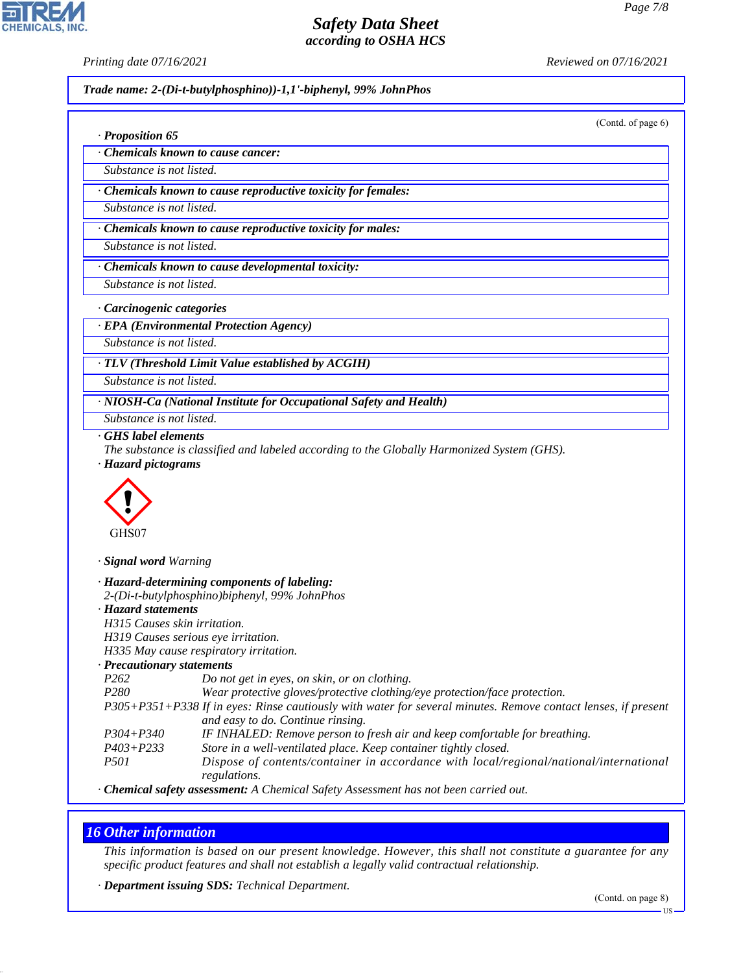**CHEMICALS, INC** 

*· Proposition 65*

*Printing date 07/16/2021 Reviewed on 07/16/2021*

*Trade name: 2-(Di-t-butylphosphino))-1,1'-biphenyl, 99% JohnPhos*

(Contd. of page 6)

| Chemicals known to cause cancer: |  |  |
|----------------------------------|--|--|

*Substance is not listed.*

*· Chemicals known to cause reproductive toxicity for females:*

*Substance is not listed.*

*· Chemicals known to cause reproductive toxicity for males:*

*Substance is not listed.*

*· Chemicals known to cause developmental toxicity:*

*Substance is not listed.*

*· Carcinogenic categories*

*· EPA (Environmental Protection Agency)*

*Substance is not listed.*

*· TLV (Threshold Limit Value established by ACGIH)*

*Substance is not listed.*

*· NIOSH-Ca (National Institute for Occupational Safety and Health)*

*Substance is not listed.*

*· GHS label elements*

*The substance is classified and labeled according to the Globally Harmonized System (GHS). · Hazard pictograms*



*· Signal word Warning*

|                              | · Hazard-determining components of labeling:                                                                                                       |
|------------------------------|----------------------------------------------------------------------------------------------------------------------------------------------------|
|                              | 2-(Di-t-butylphosphino)biphenyl, 99% JohnPhos                                                                                                      |
| · Hazard statements          |                                                                                                                                                    |
| H315 Causes skin irritation. |                                                                                                                                                    |
|                              | H319 Causes serious eye irritation.                                                                                                                |
|                              | H335 May cause respiratory irritation.                                                                                                             |
| · Precautionary statements   |                                                                                                                                                    |
| P <sub>262</sub>             | Do not get in eyes, on skin, or on clothing.                                                                                                       |
| P <sub>280</sub>             | Wear protective gloves/protective clothing/eye protection/face protection.                                                                         |
|                              | P305+P351+P338 If in eyes: Rinse cautiously with water for several minutes. Remove contact lenses, if present<br>and easy to do. Continue rinsing. |
| $P304 + P340$                | IF INHALED: Remove person to fresh air and keep comfortable for breathing.                                                                         |
| $P403 + P233$                | Store in a well-ventilated place. Keep container tightly closed.                                                                                   |
| <i>P501</i>                  | Dispose of contents/container in accordance with local/regional/national/international<br>regulations.                                             |
|                              | $\alpha$ . The state is the state of the state of $\alpha$                                                                                         |

*· Chemical safety assessment: A Chemical Safety Assessment has not been carried out.*

## *16 Other information*

44.1.1

*This information is based on our present knowledge. However, this shall not constitute a guarantee for any specific product features and shall not establish a legally valid contractual relationship.*

*· Department issuing SDS: Technical Department.*

US